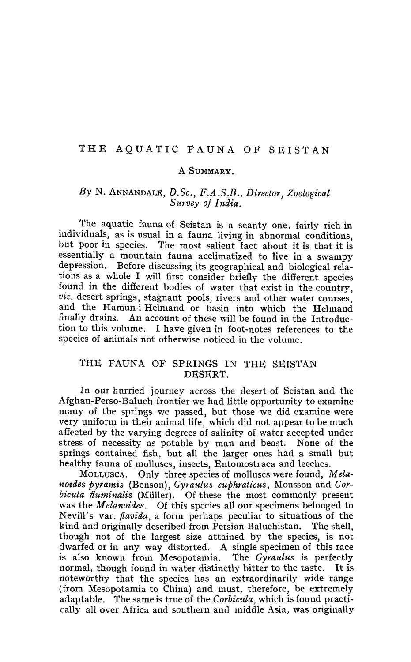#### THE AQUATIC FAUNA OF SEISTAN

#### A SUMMARY.

## *By* N. ANNANDALg, *D.Se., F.A.S.R., Director, Zoological Survey 01 India.*

The aquatic fauna of Seistan is a scanty one, fairly rich in individuals, as is usual in a fauna living in abnormal conditions. but poor in species. The most salient fact about it is that it is essentially a mountain fauna acclimatized to live in a swampy deppession. Before discussing its geographical and biological relations as a whole I will first consider briefly the different species found in the different bodies of water that exist in the country, *viz.* desert springs, stagnant pools, rivers and other water courses, and the Hamun-i-Helmand or basin into which the Helmand finally drains. An account of these will be found in the Introduction to this volume. 1 have given in foot-notes references to the species of animals not otherwise noticed in the volume.

## THE FAUNA OF SPRINGS IN THE SEISTAN DESERT.

In our hurried journey across the desert of Seistan and the Afghan-Perso-Baluch frontier we had little opportunity to examine many of the springs we passed, but those we did examine were very uniform in their animal life, which did not appear to be much affected by the varying degrees of salinity of water accepted under stress of necessity as potable by man and beast. None of the springs contained fish, but all the larger ones had a small but healthy fauna of molluscs, insects, Entomostraca and leeches.

MOLLUSCA. Only three species of molluscs were found, M *elanoides pyramis* (Benson), *Gytaulus euphratieus,* Mousson and *Corbicula fluminalis* (Müller). Of these the most commonly present was the *Melanoides*. Of this species all our specimens belonged to Nevill's var. *flavida,* a form perhaps peculiar to situations of the kind and originally described from Persian Baluchistan. The shell, though not of the largest size attained by the species, is not dwarfed or in any way distorted. A single specimen of this race<br>is also known from Mesopotamia. The Gyraulus is perfectly is also known from Mesopotamia. normal, though found in water distinctly bitter to the taste. It is noteworthy that the species has an extraordinarily wide range (from Mesopotamia to China) and must, therefore, be extremely adaptable. The same is true of the *Corbicula*, which is found practically all over Africa and southern and tniddle Asia, was originally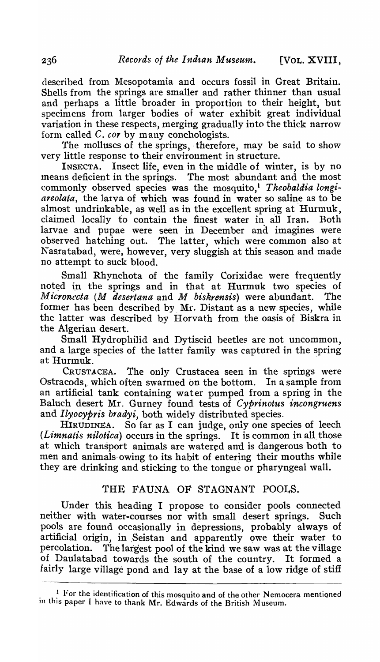described from Mesopotamia and occurs fossil in Great Britain. Shells from the springs are smaller and rather thinner than usual and perhaps a little broader in proportion to their height, but specimens from larger bodies of water exhibit great individual variation in these respects, merging gradually into the thick narrow form called C. *cor* by many conchologists.

The molluscs of the springs, therefore, may be said to show very little response to their environment in structure.

INSECTA. Insect life, even in the middle of winter, is by no means deficient in the springs. The most abundant and the most commonly observed species was the mosquito,<sup>1</sup> Theobaldia longi*areolata,* the larva of which was found in water so saline as to be almost undrinkable, as well as in the excellent spring at Hurmuk, claimed locally to contain the finest water in all Iran. Roth larvae and pupae were seen in December and imagines were observed hatching out. The latter, which were common also at Nasratabad, were, however, very sluggish at this season and made no attempt to suck blood.

Sma11 Rhynchota of the family Corixidae were frequently noted in the springs and in that at Hurmuk two species of *Micronccta (M desertana* and *M biskrensis)* were abundant. The former has been described by. Mr. Distant as a new species, while the latter was described by Horvath from the oasis of Biskra in the Algerian desert.

Small Hydrophilid and Dytiscid beetles are not uncommon, and a large species of the latter family was captured in the spring at Hurmuk.

CRUSTACEA. The only Crustacea seen in the springs were Ostracods, which often swarmed on the bottom. In a sample from an artificial tank containing water pumped from a spring in the Baluch desert Mr. Gurney found tests of *Cyprinotus incongruens*  and *Ilyocypris bradyi*, both widely distributed species.

HIRUDINEA. So far as I can judge, only one species of leech *(Limnatis nilotica)* occurs in the springs. It is common in all. those at which transport animals are watered and is dangerous both to men and animals owing to its habit of entering their mouths while they are drinking and sticking to. the tongue or pharyngeal wall.

## THE FAUNA OF STAGNANT POOLS.

Under this. heading I propose to consider pools connected neither with water-courses nor with small desert springs. Such pools are found occasionally in depressions, probably always of artificial origin, in Seistan and apparently owe their water to percolation. The largest pool of the kind we saw was at the village of Daulatabad towards the south of the country. It formed a fairly large village pond and lay at the base of a low ridge of stiff

 $\frac{1}{2}$ . For the identification of this mosquito and of the other Nemocera mentioned in this paper I have to thank Mr. Edwards of the British Museum.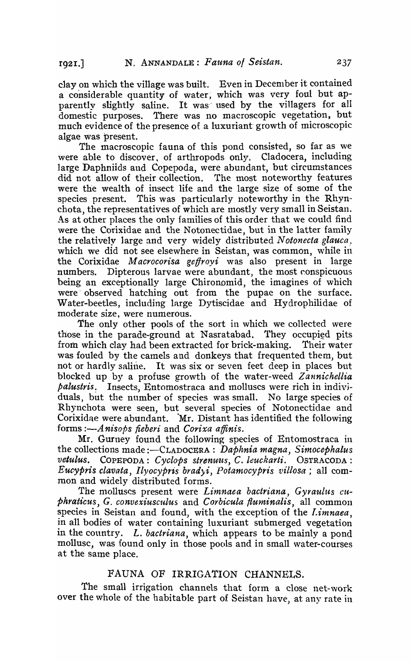clay on which the village was built. Even in Decenlber it contained a considerable quantity of water; which was very foul but apparently slightly saline. It was used by the villagers for all domestic purposes. There was no macroscopic vegetation, but much evidence of the presence of a luxuriant' growth of microscopic algae was present.

The macroscopic fauna of this pond consisted, so far as we were able to discover, of arthropods only. Cladocera, including large Daphniids and Copepoda, were abundant, but circumstances did not allow of their collection. The most noteworthy features were the wealth of insect life and the large size of some of the species present. This was particularly noteworthy in the Rhynchota, the representatives of which are mostly very small in Seistan. As at other places the only families of this order that we could find were the Corixidae and the Notonectidae, but in the latter family the relatively large and very widely distributed Notonecta glauca. which we did not see elsewhere in Seistan, was common, while in the Corixidae M *acrocorisa geffroyi* was also present in large numbers. Dipterous larvae were abundant, the most conspicuous being an exceptionally large Chironomid, the imagines of which were observed hatching out from the pupae on the surface. Water-beetles, including large Dytiscidae and Hydrophilidae of moderate size, were numerous.

The only other pools of the sort in which we collected were those in the parade-ground at Nasratabad. They occupied pits from which clay had been extracted for brick-making. Their water was fouled by the camels and donkeys that frequented them, but not or hardly saline. It was six or seven feet deep in places but blocked up by a profuse growth of the water-weed *Zannichellia palustris* ~ Insects, Entomostraca and Inolluscs were rich in indivjduals, but the number of species was small. No large species of Rhynchota were seen, but several species of Notonectidae and Corixidae were abundant. Mr. Distant has identified the following forms *:-A nisops fieberi* and *Corixa atfinis.* 

Mr. Gurney found the following species of Entomostraca in the collections made :-CLADOCERA: *Daphnia magna, Simocephalus*   $v$ etulus. COPEPODA: Cyclops strenuus, C. leuckarti. OSTRACODA: *Eucypris clavata, Ilyocypris bradyi, Potamocypris villosa;* all common and widely distributed forms.

The molluscs present were *Limnaea bactriana, Gyraulus cuphraticus, G. convexiusculus* and *Corbicula fluminalis*, all common species in Seistan and found, with the exception of the *l.imnaea,*  in all bodies of water containing luxuriant submerged vegetation in the country. L. *bactriana*, which appears to be mainly a pond mollusc, was found only in those pools and in small water-courses at the same place.

#### FAUNA OF IRRIGATION CHANNELS.

The small irrigation channels that form a close net-work over the whole of the habitable part of Seistan have, at any rate in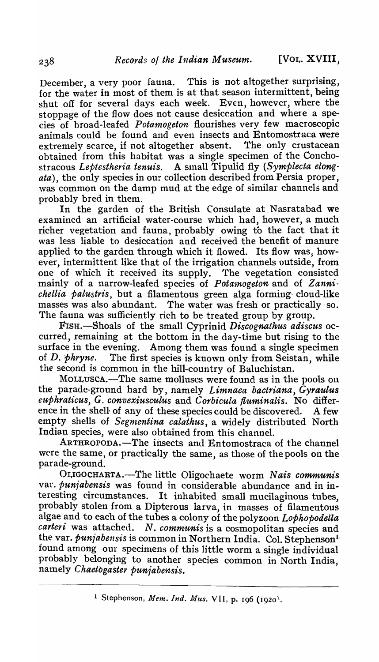December, a very poor fauna. This is not altogether surprising, for the water in most of them is at that season intermittent, being shut off for several days each week. Even, however, where the stoppage of the flow does not cause desiccation and where a species of broad-leafed *Potamogeton* flourishes very few macroscopic animals could be found and even insects and Entomostraca were<br>extremely scarce, if not altogether absent. The only crustacean extremely scarce, if not altogether absent. obtained from this habitat was a single specimen of the Conchostracous Leptestheria tenuis. A sinall Tipulid fly *(Symplecta elongata),* the only species in our collection described from Persia proper, was common on the damp mud at the edge of similar channels and probably bred in them.

In the garden of the British Consulate at Nasratabad we examined an artificial water-course which had, however, a much richer vegetation and fauna, probably owing to the fact that it was less liable to desiccation and received the benefit of manure applied to the garden through which it flowed. Its flow was, however, intermittent like that of the irrigation channels outside, from one of which it received its supply. The vegetation consisted mainly of a narrow-leafed species of *Potamogeton* and of *Zannichellia palustris*, but a filamentous green alga forming cloud-like masses was also abundant. The water was fresh or practically -so. The fauna was sufficiently rich to be treated group by group.

FIsH.-Shoals of the small Cyprinid *Discognathus adiscus* occurred, remaining at the bottom in the day-time but rising to the Among them was found a single specimen of D. *phryne.* The first species is known only from Seistan, while the second is common in the hill-country of Baluchistan.

MOLLUSCA.—The same molluscs were found as in the pools on the parade-ground hard by, namely *Limnaca bactriana*, Gyraulus *euphraticus, G. convexiusculus and Corbicula fluminalis.* No difference in the shell of any of these species could be discovered. A few empty shells of *Segmentina calathus*, a widely distributed North Indian species, were also obtained from this channel.

ARTHRoPoDA.-The insects and Entomostraca of the channel were the same, or practically the same, as those of the pools on the parade-ground.

OLIGOCHAETA.-The little Oligochaete worm Nais communis var. *puniabensis* was found in considerable abundance and in interesting circumstances. It inhabited small mucilaginous tubes, probably stolen from a Dipterous iarva, in masses. of filamentous algae and to each of the tubes a colony of the polyzoon *Lophopodella carteri* was attached. *N. communis* is a cosmopolitan species and the var. *punjabensis* is common in Northern India. Col. Stephenson<sup>1</sup> found among our specimens of this little worm a single individual probably belonging to another species common in North India, namely *Chaetbgaster punjabensis.* 

<sup>&</sup>lt;sup>1</sup> Stephenson, *Mem. Ind. Mus.* VII, p. 196 (1920).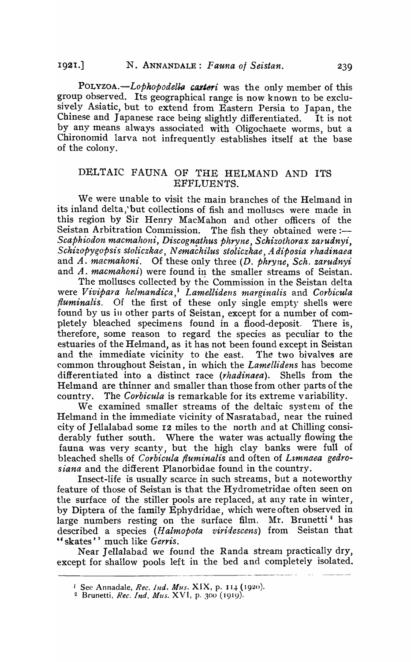POLYZOA.-Lophopodella carteri was the only member of this group observed. Its geographical range is now known to be exclusively Asiatic, but to extend from Eastern Persia to Japan, the Chinese and Japanese race being slightly differentiated. It is not by any means always associated with Oligochaete worms, but a Chironomid larva not infrequently establishes itself at the base of the colony.

## DELTAIC FAUNA OF THE HELMAND AND ITS EFFLUENTS.

We were unable to visit the main branches of the Helmand in its inland delta,' but collections of fish and molluscs were made in this region by Sir Henry MacMahon and other officers of the Seistan Arbitration Commission. The fish they obtained were:-Scaphiodon macmahoni, Discognathus phryne, Schizothorax zarudnyi, *Schizopygopsis stoliczkae, N emachilus stoliczkae, A diposia rhadinaea*  and A. *macmahoni.* Of these only three (D. *phryne, Sch. zarudnyi*  and A. *macmahoni*) were found in the smaller streams of Seistan.

The molluscs collected by the Commission in the Seistan delta were *Vivipara helmandica*,<sup>1</sup> Lamellidens marginalis and Corbicula */luminalis.* Of the first of these only single empty shells were found by us in other parts of Seistan, except for a number of completely bleached specimens found in a flood-deposit. There is, therefore, some reason to regard the species as peculiar to the estuaries of the Helmand, as it has not been found except in Seistan and the immediate vicinity to the east. The two bivalves are common throughout Seistan, in which the *Lamellidens* has become differentiated into a distinct race *(rhadinaea).* Shells from the Helmand are thinner and smaller than those from other parts of the country. The *Corbicula* is remarkable for its extreme variability.

We examined smaller streams of the deltaic system of the Helmand in the immediate vicinity of Nasratabad, near the ruined city of Jellalabad some 12 miles to the north and at Chilling considerably futher south. Where the water was actually flowing the fauna was very scanty, but the high clay banks were full of bleached shells of *Corbicula fluminalis* and often of *Limnaea gedrosiana* and the different Planorbidae found in the country.

Insect-life is usually scarce in such streams, but a noteworthy feature of those of Seistan is that the Hydrometridae often seen on the surface of the stiller pools are replaced, at any rate in winter, by Diptera of the family Ephydridae, which were often observed in large numbers resting on the surface film. Mr. Brunetti<sup>2</sup> has described a species (Halmopota viridescens) from Seistan that " skates" much like Gerris.

Near Jellalabad we found the Randa stream practically dry, except for shallow pools left in the bed and completely isolated.

<sup>&</sup>lt;sup>1</sup> See Annadale, *Rec. 1nd. Mus.* XIX, p. 114 (1920).

<sup>2</sup> Brunetti, *Rec. Ind. Mus.* XVI, p. 300 (1919)'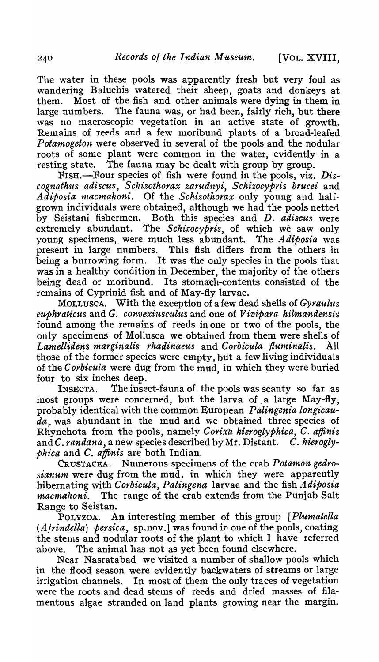The water in these pools was apparently fresh but very foul as wandering Baluchis watered their sheep, goats and donkeys at them. Most of the fish and other animals were dying in them in large numbers. The fauna was, or had been, fairly rich, but there was no macroscopic vegetation in an active state of growth. Remains of reeds and a few moribund plants of a broad-leafed Potamogeton were observed in several of the pools and the nodular roots of some plant were common in the water, evidently in a resting state. The fauna may be dealt with group by group.

FISH.—Four species of fish were found in the pools, viz. Dis*cognathus adiscus, Schizothorax zarudnyi, Schizocypris brucei* and Adiposia macmahoni. Of the *Schizothorax* only young and halfgrown individuals were obtained, although we had the pools netted by Seistani fishermen. Both this species and D. *adiscus* were extremely abundant. The *Schizocypris,* of which we saw only young specimens," were much less abundant. The *Adiposia* was present in large numbers. This fish differs from the others in being a burrowing form. It was the only species in the pools that was in a healthy condition in December, the majority of the others being dead or moribund. Its stomach-contents consisted of the remains of Cyprinid fish and of May-fly larvae.

MOLLUSCA, With the exception of a few dead shells of *Gyraulus euphraticus* and G. *convexiusculus* and one of *Vivipara hilmandensis* found among the remains of reeds in one or two of the pools, the only specimens of Mollusca we obtained from them were shells of Lamellidens marginalis *rhadinaeus* and *Corbicula fluminalis.* All those of the former species were empty, but a few living individuals of the *Corbicula* were dug from the mud, in which they were buried four to six inches deep.

INSECTA. The insect-fauna of the pools was scanty so far as most groups were concerned, but the larva of a large May-fly, probably identical with the common European *Palingenia longicauda,.* was abundant in the mud and we obtained three species of Rhynchota from the pools, namely Corixa hieroglyphica, C. affinis and C. *randana*, a new species described by Mr. Distant. C. hierogly*phica* and C. *affinis* are both Indian. .

CRUSTACEA. Numerous specimens of the crab *Potamon gedrosianum* were dug from the mud, in which they were apparently hibernating with *Corbicula, Palingena* larvae and the fish *Adiposia macmahoni.* The range of the crab extends from the Punjab Salt Range to Seistan.

POLYZOA. An interesting member of this group *[Plumatella (Afrindella) persica,* sp.nov.] was found in one of the pools, coating the stems and nodular roots of the plant to which 1 have referred above. The animal has not as yet been found elsewhere.

Near Nasratabad we visited a number of shallow pools which in the flood season were evidently backwaters of streams or large irrigation channels. In most of them the only traces of vegetation were the roots and dead stems of reeds and dried masses of filamentous algae stranded on land plants growing near the margin.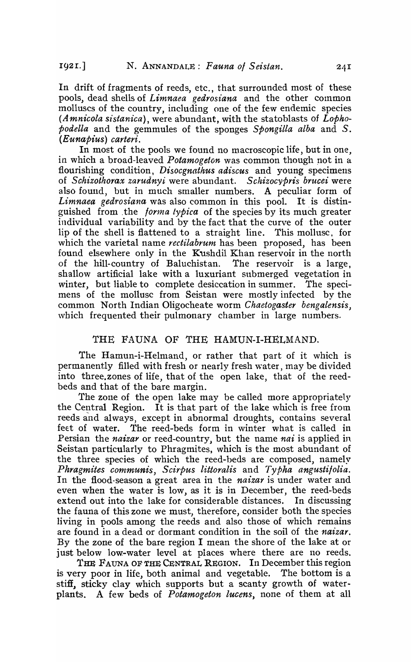In drift of fragments of reeds, etc., that surrounded most of these pools, dead shells of *Limnaea gedrosiana* and the other common molluscs of the country, including one of the few endemic species *(Amnicola sistanica),* were abundant, with the statoblasts of *Lophopodella* and the gemmules of the sponges *Spongilla alba* and *S. (Eunapius) carteri.* 

In most of the pools we found no macroscopic life, but in one, in which a broad-leaved *Potamogeton* was common though not in a flourishing condition, *Disocgnathus adiscus* and young specimens of *Schizothorax zarudnyi* were abundant. *Schizocypris brucei* were also found, but in much smaller numbers. A peculiar form of *Limnaea gedrosiana* was also common in this pool. It is distinguished from the *forma typica* of the species by its much greater individual variability and by the fact that the curve of the outer lip of the shell is flattened to a straight line. This mollusc, for which the varietal name *rectilabrum* has been proposed, has been found elsewhere only in the Kushdil Khan reservoir in the north of the hill-country of Baluchistan. The reservoir is a large, shallow artificial lake with a luxuriant submerged vegetation in winter, but liable to complete desiccation in summer. The specimens of the mollusc from Seistan were mostly infected by the common North Indian Oligocheate worm *Chaetogaster bengalensis*, which frequented their pulmonary chamber in large numbers.

#### THE FAUNA OF THE HAMUN-I-HELMAND.

The Hamun-i-Helmand, or rather that part of it which is permanently filled with fresh or nearly fresh water, may be divided into three.zones of life, that of the open lake, that of the reedbeds and that of the bare margin.

The zone of the open lake may be called more appropriately the Central Region. It is that part of the lake which is free from reeds and always, except in abnormal droughts, contains several feet of water. The reed-beds form in winter what is called in Persian the *naizar* or reed-country, but the name *nai* is applied in Seistan particularly to Phragmites, which is the most abundant of the three species of which the reed-beds are composed, namely *Phragmites communis, Scirpus littoralis* and *Typha angustilolia.*  In the flood-season a great area in the *naizar* is under water and even when the water is low, as it is in December, the reed-beds extend out into the lake for considerable distances. In discussing the fauna of this zone we must, therefore, consider both the species living in pools among the reeds and also those of which remains are found in a dead or dormant condition in the soil of the *naizar.*  By the zone of the bare region I mean the shore of the lake at or just below low-water level at places where there are 110 reeds.

THE FAUNA OF THE CENTRAL REGION. In December this region is very poor in life, both animal and vegetable. The bottom is a stiff, sticky clay which supports but a scanty growth of waterplants. A few beds of *Potamogeton lucens,* none of them at all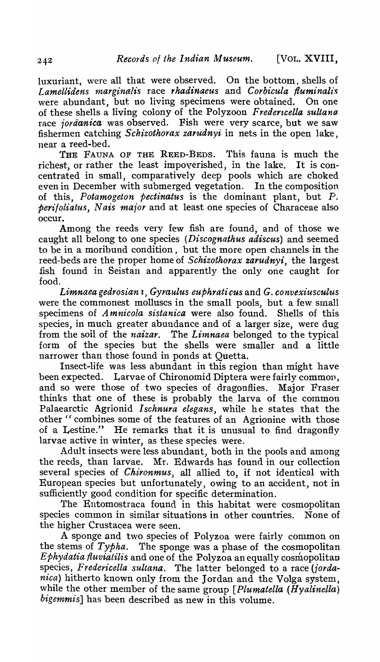luxuriant, were all that were observed. On the bottom, shells of Lamellidens marginalis race *rhadinaeus* and *Corbicula fluminalis* were abundant, but no living specimens were obtained. On one of these shells a living colony of the Polyzoon *Fredertcella sultana*  race *jordanica* was observed. Fish were very scarce, but we saw fishermen catching *Schizothorax zarudnyi* in nets in the open lake, near a reed-bed.

THE FAUNA OF THE REED-BEDS. This fauna is much the richest, or rather the least impoverished, in the lake. It is concentrated in small, comparatively deep pools which are choked even in December with submerged vegetation. In the composition of this, *Potamogeton pectinatus* is the dominant plant, but P. *perifoliatus, Nais major* and at least one species of Characeae also occur.

Among the reeds very few fish are found, and of those we caught all belong to one species *(Discognathus adiscus)* and seemed to be in a moribund condition, but the 'more open channels in the reed-beds are the proper home of *Schizothorax zarudnyi,* the largest fish found in Seistan and apparently the only one caught for food.

Limnaea gedrosian<sup>1</sup>, Gyraulus euphrati cus and *G. convexiusculus* were the commonest molluscs in the small pools, but a few small specimens of *A mnicola sistanica* were also found. Shells of this species, in much greater abundance and of a larger size, were dug from the soil of the *naizar*. The *Limnaea* belonged to the typical form of the species but the shells were smaller and a little narrower than those found in ponds at Quetta.

Insect-life was less abundant in this region than might have been expected. Larvae of Chironomid Diptera were fairly common, and so were those of two species of dragonflies. Major Fraser thinks that one of these is probably the larva of the common Palaearctic Agrionid Ischnura elegans, while he states that the other "combines some of the features of an Agrionine with those<br>of a Lestine." He remarks that it is unusual to find dragonfly He remarks that it is unusual to find dragonfly larvae active in winter, as these species were.

Adult insects were less abundant, both in the pools and among the reeds, than larvae. Mr. Edwards has found in our collection several species of *Chironmus,* all allied to, if not identical with European species but unfortunately, owing to an accident, not in sufficiently good condition for specific determination.

The Entomostraca found in this habitat were cosmopolitan species common in similar situations in other countries. None of the higher Crustacea were seen.

A sponge and two species of Polyzoa were fairly common on the stems of *Typha.* The sponge was a phase of the cosmopolitan *Ephydatia fluviatilis* and one of the Polyzoa an equally cosmopolitan species, Fredericella sultana. The latter belonged to a race (jorda*nica)* hitherto known only from the Jordan and the Volga system, while the other member of the same group *[Plumatella (Hyalinella) bigemmis]* has been described as new in this volume.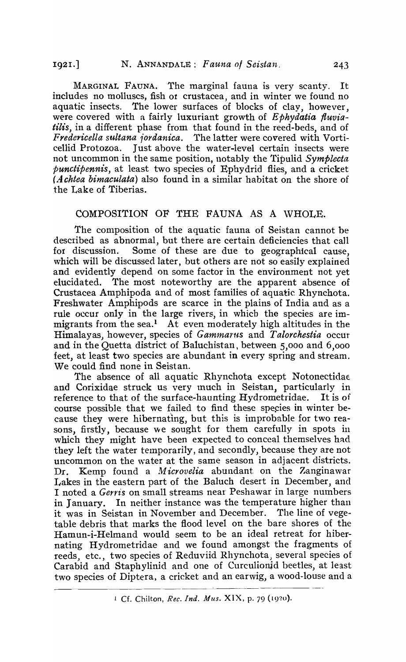MARGINAL FAUNA. The marginal fauna is very scanty. It includes no molluscs, fish or crustacea, and in winter we found no aquatic insects. The lower surfaces of blocks of clay, however, were covered with a fairly luxuriant growth of *Ephydatia fluviatilis,* in a different phase from that found in the reed-beds, and of *Fredericella sultana iordanica.* The latter were covered with VorticeUid Protozoa. Just above the water-level certain insects were not uncommon in the same position, notably the Tipulid *Symplecta punctipennis,* at least two species of Ephydrid flies, and a cricket *(Achtea bimaculata)* also found in a similar habitat on the shore of the Lake of Tiberias.

#### COMPOSITION OF THE FAUNA AS A WHOLE.

The composition of the aquatic fauna of Seistan cannot be described as abnormal, but there are certain deficiencies that call for discussion. Some of these are due to geographical cause, which will be discussed later, but others are not so easily explained and evidently depend on some factor in the environment not yet elucida ted. The most noteworthy are the apparent absence of Crustacea Amphipoda and of most families of aquatic Rhynchota. Freshwater A'mphipods are scarce in the plains of India and as a rule occur only in the large rivers, in whicb the species are immigrants from the sea.<sup>1</sup> At even moderately high altitudes in the Himalayas) however, species of *Gamma1'1ts* and *Talorchestia* occur and in the Quetta district of Baluchistan, between 5,000 and 6,000 feet, at least two species are abundant in every spring and stream. We could find none in Seistan.

The absence of all aquatic Rhynchota except Notonectidae. and Corixidae struck us very tnuch in Seistan, particularly in reference to that of the surface-haunting Hydrometridae. It is of course possible that we failed to find these species in winter because they were hibernating, but this is improbable for two reasons, firstly, because we sought for them carefully in spots in which they might have been expected to conceal themselves had they left the water temporarily, and secondly, because they are not uncommon on the water at the same season in adjacent districts. Dr. Kemp found a *Microvelia* abundant on the Zanginawar Lakes in the eastern part of the Baluch desert in December, and I noted a *Gerris* on small streams near Peshawar in large numbers in January. In neither instance was the temperature higher than it was in Seistan in November and December. The line of vegetable debris that marks the flood level on the bare shores of the Hamun-i-Helmand would seem to be an ideal retreat for hibernating Hydrometridae and we found amongst the fragments of reeds, etc., two species of Reduviid Rhynchota, several species of Carabid and Staphylinid and one of Curculionid beetles, at least two species of Diptera, a cricket and an earwig, a wood-louse and a

<sup>1</sup> Cf. Chilton, *Rec. Ind. Mus.* XIX, p. 79 (19?o).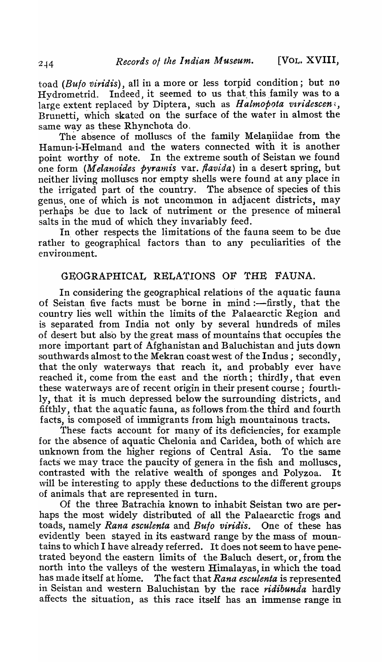toad *(Bulo viridis),* all in a more or less torpid condition; but no Hydrometrid. Indeed, it seemed to us that this family was to a large extent replaced by Diptera, such as *Halmopota viridescen*; Brunetti, which skated on the surface of the water in almost the same way as these Rhynchota do.

The absence of molluscs of the family Melaniidae from the Hamun-i-Helmand and the waters connected with it is another point worthy of note. In the extreme south of Seistan we found one form *(Melanoides pyramis var. flavida)* in a desert spring, but neither living molluses nor empty shells were found at any place in the irrigated part of the country. The absence of species of this genus, one of which is not uncommon in adjacent districts, may perhaps be due to lack of nutriment or the presence of mineral salts in the mud of which they invariably feed.

In other respects the limitations of the fauna seem to be due rather to geographical factors than to any peculiarities of the environment.

## GEOGRAPHICAL RELA'rIONS OF THE FAUNA.

In considering the geographical relations of the aquatic fauna of Seistan five facts must be borne in mind :--firstly, that the country lies well within the limits of the Palaearctic Region and is separated from India not only by several hundreds of miles of desert but also by the great mass of mountains that occupies the more important part of Afghanistan and Baluchistan and juts down southwards almost to the Mekran coast west of the Indus; secondly, that the only waterways that reach it, and probably ever have reached it, come from the east and the north; thirdly, that even these waterways are of recent origin in their present course; fourthly, that it is much depressed below the surrounding districts, and fifthly, that the aquatic fauna, as follows from. the third and fourth facts, is composed of immigrants from high mountainous tracts.

These facts account for many of its deficiencies, for example for the absence of aquatic Chelonia and Caridea, both of which are unknown from the higher regions of Central Asia. To the same facts we may trace the paucity of genera in the fish and molluscs, contrasted with the relative wealth of sponges and Polyzoa. It will be interesting to apply these deductions to the different groups of animals that are represented in turn.

Of the three Batrachia known to inhabit Seistan two are per· haps the most widely distributed of all the Palaearctic frogs and toads, namely *Rana esculenta* and *Buto viridis*. One of these has evidently been stayed in its eastward range by the mass of moun·· tains to which I have already referred. It does not seem to have penetrated beyond the eastern limits of the Baluch desert, or, from the north into the valleys of the western Himalayas, in which the toad has made itself at home. The fact that *Rana esculenta* is represented in Seistan and western Baluchistan by the race *ridibunda* hardly affects the situation, as this race itself has an immense range in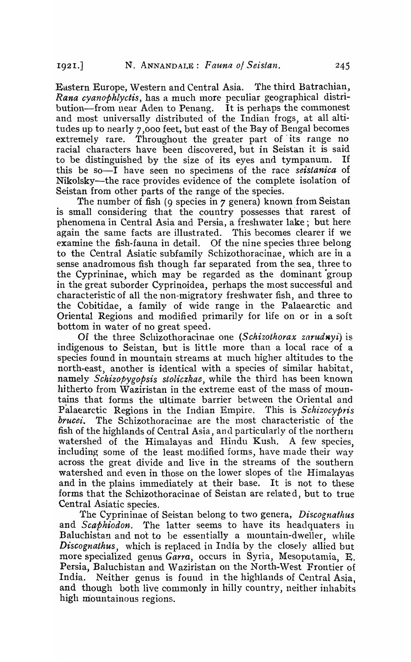Eastern Europe, Western and Central Asia. The third Batrachian, *Rana cyanophlyctis, has a much more peculiar geographical distri*bution—from near Aden to Penang. It is perhaps the commonest and most universally distributed of the Indian frogs, at all altitudes up to nearly 7,000 feet, but east of the Bay of Bengal becomes extremely rare. Throughout the greater part of its range no racial characters have been discovered, but in Seistan it is said to be djstinguished by the size of its eyes and tympanum. If this be so-1 have seen 110 specimens of the race *seistanica* of Nikolsky-the race provides evidence of the complete isolation of Seistan from other parts of the range of the species.

The number of fish (9 species in 7 genera) known from Seistan is small considering that the country possesses that rarest of phenomena in Central Asia and Persia, a freshwater lake; but here again the same facts are illustrated. This becomes clearer if we examine the fish-fauna in detail. Of the nine species three belong to the Central Asiatic subfamily Schizothoracinae, which are in a sense anadromous fish though far separated from the sea, three to the Cyprininae, which may be regarded as the dominant group in the great suborder Cyprinoidea, perhaps the most successful and characteristic of all the non-migratory freshwater fish, and three to the Cobitidae, a family of wide range in the Palaearctic and Oriental Regions and modified primarily for life on or in a soft bottom in water of no great speed.

Of the three Schizothoracinae one *(Schizothorax zarudwyi)* is indigenous to Seistan, but is little more than a local race of a species found in mountain streams at much higher altitudes to the north-east, another is identical with a species of similar habitat, namely *Schizopygopsis stoliczkae,* while the third has been known hitherto from Waziristan in the extreme east of the mass of mountains that forms the ultimate barrier between the Oriental and Palaearctic Regions in the Indian Empire. This is *Schizocypris brucei*. The Schizothoracinae are the most characteristic of the fish of the highlands of Central Asia, and particularly of the northern watershed of the Himalayas and Hindu Kush. A few species, including some of the least modified forms, have made their way across the great divide and live in the streams of the southern watershed and even in those on the lower slopes of the Himalayas and in the plains immediately at their base. It is not to these forms that the Schizothoracinae of Seistan are relate d, but to true Central Asiatic species.

The Cyprininae of Seistan belong to two genera, *Discognathus* and *Scaphiodon.* The latter seems to have its headquaters in Baluchistan and not to be essentially a mountain-dweller, while *Discognathus,* which is replaced in India by the closely allied but more specialized genus *Carra,* occurs in Syria, Mesopotamia, E. Persia, Baluchistan and Waziristan on the North-West Frontier of India. Neither genus is found in the highlands of Central Asia, and though both live commonly in hilly country, neither inhabits high mountainous regions.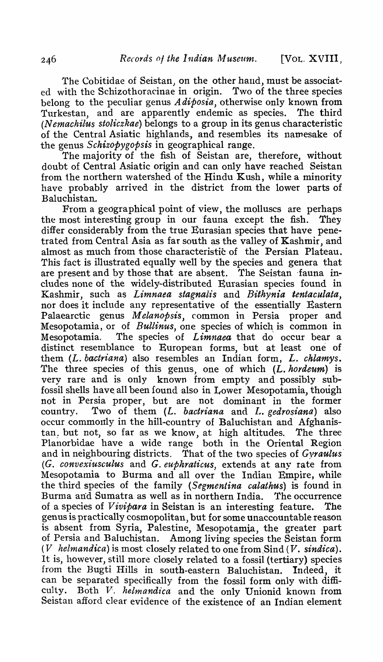The Cobitidae of Seistan, on the other haud, must be associated with the Schizothoracinae in origin. Two of the three species belong to the peculiar genus *A diposia,* otherwise only known from Turkestan, and are apparently endemic as species. The third (N *emachilus stoliczkae)* belongs to a group in its genus characteristic of the Central Asiatic highlands, and resembles its namesake of the genus *Schizopygopsis* in geographical range.

The majority of the fish of Seistan are, therefore, without doubt of Central Asiatic origin and can only have reached Seistan from the northern watershed of the Hindu Kush, while a minority have probably arrived in the district from the lower parts of Baluchistan.

From a geographical point of view, the molluscs are perhaps the most interesting group in our 'fauna except the fish. They differ considerably from the true Eurasian species that have penetrated from Central Asia as far south as the valley of Kashmir, and almost as much from those characteristic of the Persian Plateau. This fact is illustrated equally well by the species and genera that are present and by those that are absent. The Seistan -fauna includes none of the widely-distributed Eurasian species found in Kashmir, such as *Limnaea stagnalis* and *Bithynia tentaculata*, nor does it include any representative of the essentially Eastern Palaearctic genus *Melanopsis,* common in Persia proper and Mesopotamia, or of *Bullinus*, one species of which is common in Mesopotamia. The species of *Limnaea* that do occur bear a distinct resemblance to European forms, but at least one of them *(L. bactriana)* also resembles an Indian form, L. *chlamys.*  The three species of this genus, one of which (L. hordeum) is very rare and is only known from empty and possibly subfossil shells have all been found also in Lower Mesopotamia, though not in Persia proper, but are not dominant in the former country. Two of them *(L. bactriana* and *L. gedrosiana)* also occur commonly in the hill-country of Baluchistan and Afghanistan. but not, so far as we know, at high altitudes. The three Planorbidae have a wide range both in the Oriental Region and in neighbouring districts. That of the two species of *Gyraulus (G. convexiusculus* and *G. euphraticus,* extends at any fate from Mesopotamia to Burma and all over the Indian Empire, while the third species of the family *(Segmentina calathus)* is found in Burma and Sumatra as well as in northern India. The occurrence of a species of *V ivipara* in Seistan is an interesting feature. The genus is practically cosmopolitan, but for some unaccountable reason is absent from Syria, Palestine, Mesopotamia, the greater part of Persia and Baluchistan. Among living species the Seistan form (*V helmandica*) is most closely related to one from Sind (*V. sindica*). It is, however, still more closely related to a fossil (tertiary) species from the Bugti Hills in south-eastern Baluchistan. Indeed, it can be separated specifically from the fossil form only with difficulty. Both *V. helmandica* and the only Unionid known from Seistan afford clear evidence of the existence of an Indian element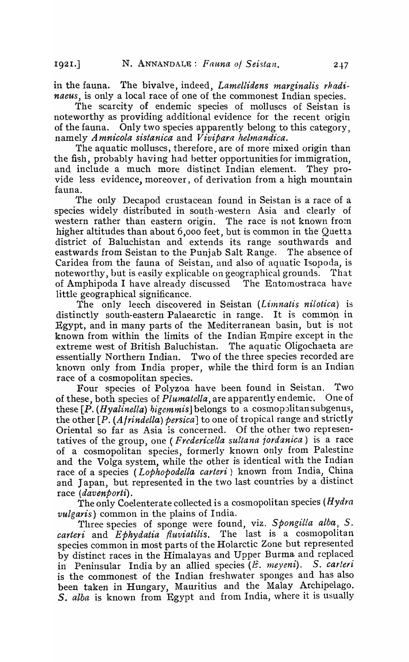in the fauna. The bivalve, indeed, *Lamellidens marginalis rhadinaeus,* is only a local race of one of the commonest Indian species.

The scarcity of endemic species of molluscs of Seistan is noteworthy as providing additional evidence for the recent origin of the fauna. Only two species apparently belong to this category, namely *Amnicola sistanica* and *Vivipara helmandica*.

The aquatic molluscs, therefore, are of more mixed origin than the fish, probably having had better opportunities for immigration, and include a much more distinct Indian element. They provide less evidence, moreover, of derivation from a high mountain fauna.

The only Decapod crustacean found in Seistan is a race of a species widely distributed in south -western Asia and clearly of western rather than eastern origin. The race is not known frorn higher altitudes than about  $6,000$  feet, but is common in the Quetta district of Baluchistan and extends its range southwards and eastwards from Seistan to the Punjab Salt Range. The absence of Caridea from the fauna of Seistan, and also of aquatic Isopoda, is noteworthy, but is easily explicable on geographical grounds. That of Amphipoda I have already discussed The Entomostraca have little geographical significance.

The only leech discovered in Seistan (*Linnatis nilotica*) is distinctly south-eastern Palaearctic in range. It is common in Egypt, and in many parts of the Mediterranean basin, but is not known from within the limits of the Indian Empire except in the extreme west of British Baluchistan. The aquatic Oligochaeta are extreme west of British Baluchistan. essentially Northern Indian. Two of the three species recorded are known only from India proper, while the third form is an Indian race of a cosmopolitan species.

Four species of Polyzoa have been found in Seistan. Two<br>ese both species of *Plumatella* are apparently endemic. One of of these, both species of *Plumatella*, are apparently endemic. these *[P. (Hyalinella) higemmis*] belongs to a cosmopolitan subgenus, the other [P. (Afrindella) persica] to one of tropical range and strictly Oriental so far as Asia is concerned. Of the other two representatives of the group, one (*Fredericella sultana jordanica*) is a race of a cosmopolitan' species, fonnerly known only from Palestine and the Volga system, while the other is identical with the Indian race of a species *(Lophopodella carteri)* known from India, China and Japan, but represented in the two last countries by a distinct race *(davenporti).* 

The only Coelenterate collected is a cosmopolitan species *(Hydra vulgaris)* common in the plains of India.

Three species of sponge were found, viz. *SpongiUa alba, S.*  carteri and *Ephydatia fluviatilis*. The last is a cosmopolitan species common in most parts of the Holarctic Zone but represented by distinct races in the Himalayas and Upper Burma and replaced in Peninsular India by an allied species (E. meyeni). S. carteri is the commonest of the Indian freshwater sponges and has also been taken in Hungary, Mauritius and the Malay Archipelago. S. *alba* is known from Egypt and from India, where it is usually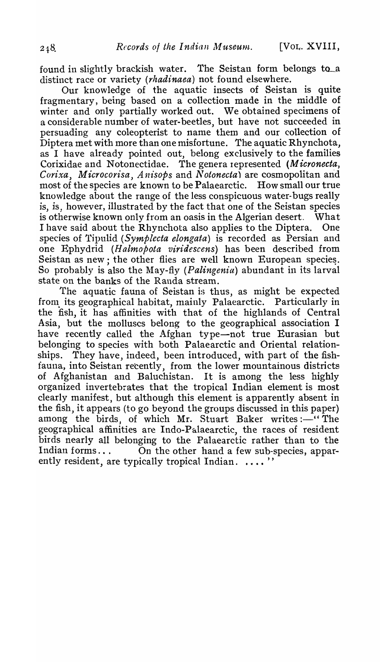found in slightly brackish water. The Seistan form belongs to-a distinct race or variety (rhadinaea) not found elsewhere.

Our knowledge of the aquatic insects of Seistan is quite fragmentary, being based on a collection made in the middle of winter and only partially worked out. We obtained specimens of a considerable number of water-beetles, but have not succeeded in persuading any coleopterist to name them and our collection of Diptera met with more than one misfortune. The aquatic Rhynchota, as I have already pointed out, belong exclusively to the families Corixidae and Notonectidae. The genera represented *(Micronecta, Corixa, Microcorisa, Anisops and Notonecta)* are cosmopolitan and most of the species are known to be Palaearctic. How small our true knowledge about the range of the less conspicuous water-bugs really is, is, however, illustrated by the fact that one of the Seistan species is otherwise known only from an oasis in the Algerian desert. What I have said about the Rhynchota also applies to the Diptera. One species of Tipulid *(Symplecta elongata)* is recorded as Persian and one Ephydrid *(H almopota viridescens)* has been described from Seistan as new; the other flies are well known European species. So probably is also the May-fly (*Palingeniu*) abundant in its larval state on the banks of the Randa stream.

The aquatic fauna of Seistan is thus, as might be expected from its geographical habitat, mainly Palaearctic. Particularly in the fish, it has affinities with that of the highlands of Central Asia, but the molluscs belong to the geographical association I have recently called the Afghan type-not true Eurasian but belonging to species with both Palaearctic and Oriental relationships. They have, indeed, been introduced, with part of the fishfauna, into Seistan recently, from the lower mountainous districts of Afghanistan and Baluchistan. organized invertebrates that the tropical Indian element is most clearly manifest, but although this element is apparently absent in the fish, it appears (to go beyond the groups discussed in this paper) among the birds, of which Mr. Stuart Baker writes :- "The geographical affinities are Indo-Palaearctic, the races of resident birds nearly all belonging to the Palaearctic rather than to the Indian forms... On the other hand a few sub-species, apparently resident, are typically tropical Indian. .... "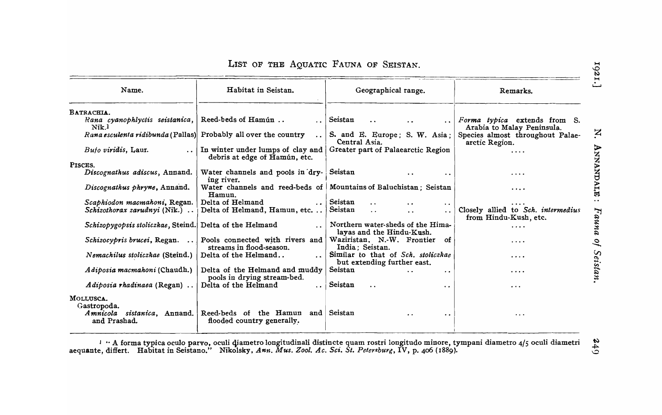|  |  |  |  |  |  | LIST OF THE AQUATIC FAUNA OF SEISTAN. |
|--|--|--|--|--|--|---------------------------------------|
|--|--|--|--|--|--|---------------------------------------|

| Name.                                                           | Habitat in Seistan.                                                | Geographical range.                                               | Remarks.                                                    |
|-----------------------------------------------------------------|--------------------------------------------------------------------|-------------------------------------------------------------------|-------------------------------------------------------------|
| BATRACHIA.<br>Rana cyanophlyctis seistanica,                    | Reed-beds of Hamún                                                 | Seistan                                                           | <i>Forma typica</i> extends from S.                         |
| Nik. <sup>1</sup>                                               |                                                                    |                                                                   | Arabia to Malay Peninsula.                                  |
| Rana esculenta ridibunda (Pallas) Probably all over the country | $\ddot{\phantom{a}}$                                               | S. and E. Europe; S. W. Asia;<br>Central Asia.                    | Species almost throughout Palae-<br>arctic Region.          |
| Buto viridis, Laur.                                             | In winter under lumps of clay and<br>debris at edge of Hamún, etc. | Greater part of Palaearctic Region                                | $\cdots$                                                    |
| PISCES.                                                         |                                                                    |                                                                   |                                                             |
| Discognathus adiscus, Annand.                                   | Water channels and pools in dry-<br>ing river.                     | Seistan<br>. .                                                    | $\cdots$                                                    |
| Discognathus phryne, Annand.                                    | Water channels and reed-beds of<br>Hamun.                          | Mountains of Baluchistan; Seistan                                 | .                                                           |
| Scaphiodon macmahoni, Regan.                                    | Delta of Helmand<br>$\cdots$ .                                     | Seistan<br>$\ddot{\phantom{0}}$<br>$\ddot{\phantom{a}}$           | .                                                           |
| <i>Schizothorax zarudnyi</i> (Nik.)                             | Delta of Helmand, Hamun, etc                                       | Seistan<br>$\ddot{\phantom{0}}$<br>$\ddot{\phantom{a}}$           | Closely allied to Sch. intermedius<br>from Hindu-Kush, etc. |
| Schizopygopsis stoliczkae, Steind. Delta of the Helmand         | $\ddotsc$                                                          | Northern water-sheds of the Hima-<br>layas and the Hindu-Kush.    | .                                                           |
| Schizocypris brucei, Regan.<br>$\cdots$                         | Pools connected with rivers and<br>streams in flood-season.        | Waziristan, N.-W. Frontier of<br>India; Seistan.                  | .                                                           |
| Nemachilus stoliczkae (Steind.)                                 | Delta of the Helmand                                               | Similar to that of Sch. stoliczkae<br>but extending further east. | .                                                           |
| Adiposia macmahoni (Chaudh.)                                    | Delta of the Helmand and muddy<br>pools in drying stream-bed.      | Seistan<br>$\ddot{\phantom{0}}$<br>$\bullet$ $\bullet$            | .                                                           |
| Adiposia rhadinaea (Regan)                                      | Delta of the Helmand                                               | Seistan<br>$\ddot{\phantom{0}}$<br>$\bullet$ . $\bullet$ .        | $\cdots$                                                    |
| MOLLUSCA.<br>Gastropoda.                                        |                                                                    |                                                                   |                                                             |
| Amnicola sistanica, Annand.<br>and Prashad.                     | Reed-beds of the Hamun and<br>flooded country generally.           | Seistan<br>$\cdot$ $\cdot$<br>$\ddot{\phantom{a}}$                | $\cdots$                                                    |

 $1$   $\cdot$  A forma typica oculo parvo, oculi diametro longitudinali distincte quam rostri longitudo minore, tympani diametro 4/5 oculi diametri aequante, differt. Habitat in Seistano." Nikolsky, Ann. Mus. Zool. Ac. Sci. St. Petersburg, IV, p. 406 (1889).

 $249$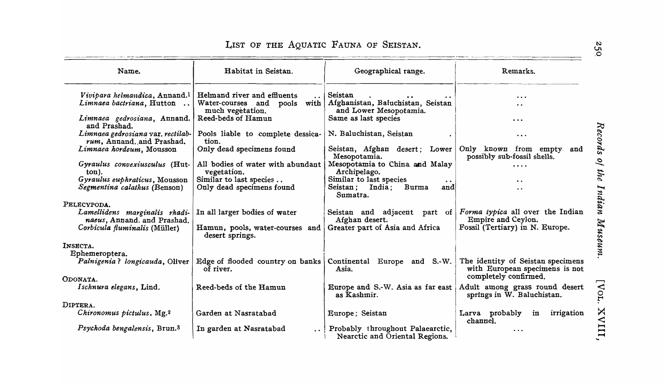| Name.                                                                                                        | Habitat in Seistan.                                                                   | Geographical range.                                                                           | Remarks.                                                                                  |
|--------------------------------------------------------------------------------------------------------------|---------------------------------------------------------------------------------------|-----------------------------------------------------------------------------------------------|-------------------------------------------------------------------------------------------|
| Vivipara helmandica, Annand. <sup>1</sup><br>Limnaea bactriana, Hutton                                       | Helmand river and effluents<br>Water-courses and<br>with<br>pools<br>much vegetation. | Seistan<br>Afghanistan, Baluchistan, Seistan<br>and Lower Mesopotamia.                        | $\ddotsc$<br>$\ddot{\phantom{0}}$                                                         |
| Limnaea gedrosiana, Annand.<br>and Prashad.                                                                  | Reed-beds of Hamun                                                                    | Same as last species                                                                          | $\cdots$                                                                                  |
| Limnaea gedrosiana var. rectilab-<br>rum, Annand. and Prashad.                                               | Pools liable to complete dessica-<br>tion.                                            | N. Baluchistan, Seistan                                                                       | $\cdots$                                                                                  |
| Limnaea hordeum, Mousson                                                                                     | Only dead specimens found                                                             | Seistan, Afghan desert; Lower<br>Mesopotamia.                                                 | Only known from empty<br>and<br>possibly sub-fossil shells.                               |
| Gyraulus convexiusculus (Hut-<br>ton).                                                                       | All bodies of water with abundant<br>vegetation.                                      | Mesopotamia to China and Malay<br>Archipelago.                                                | .                                                                                         |
| Gyraulus euphraticus, Mousson<br>Segmentina calathus (Benson)                                                | Similar to last species<br>Only dead specimens found                                  | Similar to last species<br>$\bullet$ $\bullet$<br>Seistan; India;<br>Burma<br>and<br>Sumatra. | $\bullet$ $\bullet$<br>$\ddot{\phantom{0}}$                                               |
| PELECYPODA.<br>Lamellidens marginalis rhadi-<br>naeus, Annand. and Prashad.<br>Corbicula fluminalis (Müller) | In all larger bodies of water<br>Hamun, pools, water-courses and<br>desert springs.   | Seistan and adjacent part of<br>Afghan desert.<br>Greater part of Asia and Africa             | Forma typica all over the Indian<br>Empire and Ceylon.<br>Fossil (Tertiary) in N. Europe. |
| INSECTA.<br>Ephemeroptera.                                                                                   |                                                                                       |                                                                                               |                                                                                           |
| Palnigenia? longicauda, Oliver                                                                               | Edge of flooded country on banks<br>of river.                                         | Continental Europe and S.-W.<br>Asia.                                                         | The identity of Seistan specimens<br>with European specimens is not                       |
| ODONATA.                                                                                                     |                                                                                       |                                                                                               | completely confirmed.                                                                     |
| Ischnura elegans, Lind.                                                                                      | Reed-beds of the Hamun                                                                | Europe and S.-W. Asia as far east<br>as Kashmir.                                              | Adult among grass round desert<br>springs in W. Baluchistan.                              |
| DIPTERA.                                                                                                     |                                                                                       |                                                                                               |                                                                                           |
| Chironomus pictulus. Mg. <sup>2</sup>                                                                        | Garden at Nasratabad                                                                  | Europe; Seistan                                                                               | Larva probably<br>irrigation<br>in<br>channel.                                            |
| Psychoda bengalensis, Brun. <sup>3</sup>                                                                     | In garden at Nasratabad                                                               | Probably throughout Palaearctic,<br>Nearctic and Oriental Regions.                            | $\cdots$                                                                                  |

## LIST OF THE AQUATIC FAUNA OF SEISTAN.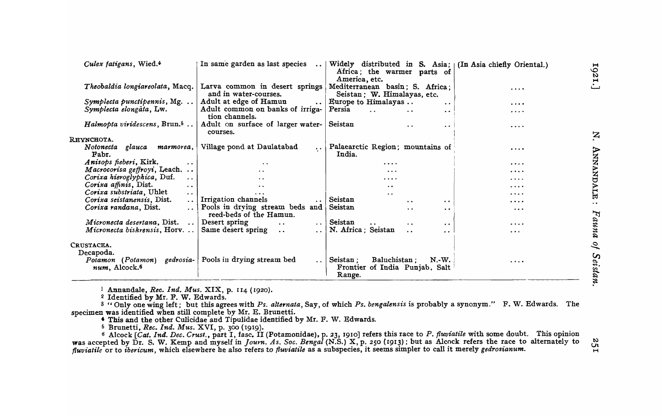| Culex fatigans, Wied.4                                                                             | In same garden as last species<br>$\sim 10^{-11}$       | Widely distributed in S. Asia; $\lfloor$ (In Asia chiefly Oriental.)<br>Africa; the warmer parts of<br>America, etc. |          | $\blacksquare$<br>$\frac{6}{5}$<br>$\blacksquare$ |
|----------------------------------------------------------------------------------------------------|---------------------------------------------------------|----------------------------------------------------------------------------------------------------------------------|----------|---------------------------------------------------|
| Theobaldia longiareolata, Macq.                                                                    | Latva common in desert springs<br>and in water-courses. | Mediterranean basin; S. Africa;<br>Seistan; W. Himalayas, etc.                                                       | .        |                                                   |
| Symplecta punctipennis, Mg.                                                                        | Adult at edge of Hamun<br>$\ddotsc$                     | Europe to Himalayas<br>$\ddot{\phantom{0}}$                                                                          | $\cdots$ |                                                   |
| Symplecta elongata, Lw.                                                                            | Adult common on banks of irriga-<br>tion channels.      | Persia<br>$\ddot{\phantom{a}}$                                                                                       | .        |                                                   |
| Halmopta viridescens, $Brun.5$                                                                     | Adult on surface of larger water-<br>courses.           | Seistan<br>$\ddot{\phantom{a}}$<br>$\cdot$ $\cdot$                                                                   | .        |                                                   |
| <b>R</b> HYNCHOTA.                                                                                 |                                                         |                                                                                                                      |          | $\mathbf{z}$                                      |
| Notonecta<br>glauca marmorea,<br>Fabr.                                                             | Village pond at Daulatabad<br>$\cdots$                  | Palaearctic Region; mountains of<br>India.                                                                           | .        | ANNANDALE                                         |
| Anisops fieberi, Kirk.                                                                             | $\ddot{\phantom{1}}$                                    | $\cdots$                                                                                                             | $\cdots$ |                                                   |
| Macrocorisa geffroyi, Leach                                                                        | . .                                                     | $\cdots$                                                                                                             | $\cdots$ |                                                   |
| Corixa hieroglyphica, Duf.<br>$\sim$ $\sim$                                                        | . .                                                     | $\cdots$                                                                                                             | .        |                                                   |
| Corixa affinis, Dist.<br>$\ddot{\phantom{0}}$                                                      | $\ddot{\phantom{a}}$                                    | $\bullet$ $\bullet$                                                                                                  | .        |                                                   |
| Corixa substriata, Uhlet<br>$\cdot$ .                                                              | $\cdots$                                                |                                                                                                                      | $\cdots$ |                                                   |
| Corixa seistanensis, Dist.                                                                         | Trrigation channels                                     | $\ddot{\phantom{0}}$<br>Seistan                                                                                      |          |                                                   |
| Corixa randana, Dist.                                                                              | Pools in drying stream beds and                         | $\bullet$ $\bullet$<br>Seistan                                                                                       | .        | $\ddot{\phantom{0}}$                              |
|                                                                                                    | reed-beds of the Hamun.                                 | . .<br>$\ddot{\phantom{a}}$                                                                                          | $\cdots$ |                                                   |
| Micronecta desertana, Dist. $\ldots$                                                               | Desert spring<br>$\ddots$ 1<br>$\ddot{\phantom{a}}$     | Seistan<br>$\bullet$<br>$\ddot{\phantom{0}}$<br>$\bullet$                                                            | $\cdots$ |                                                   |
| Micronecta biskrensis, $Horv.$                                                                     | Same desert spring<br>. . 1<br>$\ddotsc$                | N. Africa; Seistan<br>$\cdot$ $\cdot$<br>$\cdot$ .                                                                   | $\cdots$ | Fauna                                             |
| CRUSTACEA.                                                                                         |                                                         |                                                                                                                      |          | $\mathcal{Q}$                                     |
| Decapoda.<br>Potamon (Potamon) gedrosia-   Pools in drying stream bed<br>num, Alcock. <sup>6</sup> |                                                         | Seistan :<br>Baluchistan;<br>$N.-W.$<br>Frontier of India Punjab, Salt<br>Range.                                     | $\cdots$ | Seistan                                           |
|                                                                                                    |                                                         |                                                                                                                      |          |                                                   |

1 Annandale, *Rec. Ind. Mus.* XIX, p. 114 (1920).

2 Identified by Mr. F. W. Edwards.

3 "Only one wing left; but this agrees with *Ps. alternata*, Say, of which *Ps. bengalensis* is probably a synonym." F. W. Edwards. The specimen was identified when still complete by Mr. E. Brunetti.

• This and the other Culicidae and Tipulidae identified by Mr. F. W. Edwards.

6 Brunetti, *Rec. Ind. Mus.* XVI, p. 300 (1919).

6 Alcock *[Cat. Ind. Dec. Crust., part I, fasc. II (Potamonidae), p. 23, 1910] refers this race to P. <i>fluviatile* with some doubt. This opinion was accepted by Dr. S. W. Kemp and myself in *Journ. As. Soc. Bengal* (N.S.) X, p. 250 (1913) ; but as Alcock refers the race to alternately to *fluviatile* or to *ibericum*, which elsewhere he also refers to *fluviatile* as a subspecies, it seems simpler to call it merely *gedrosianum*.

 $\mathfrak{L}$  $H$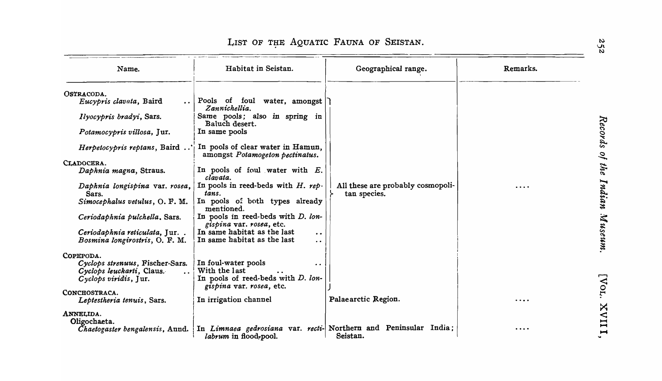| Name.                                   | Habitat in Seistan.                                                  | Geographical range.                                              | Remarks. |
|-----------------------------------------|----------------------------------------------------------------------|------------------------------------------------------------------|----------|
| OSTRACODA.                              |                                                                      |                                                                  |          |
| Eucypris clavata, Baird                 | Pools of foul water, amongst<br>Zannichellia.                        |                                                                  |          |
| Ilyocypris bradyi, Sars.                | Same pools; also in spring in<br>Baluch desert.                      |                                                                  |          |
| Potamocypris villosa, Jur.              | In same pools                                                        |                                                                  |          |
| Herpetocypris reptans, Baird            | In pools of clear water in Hamun,<br>amongst Potamogeton pectinatus. |                                                                  |          |
| CLADOCERA.                              |                                                                      |                                                                  |          |
| Daphnia magna, Straus.                  | In pools of foul water with $E$ .<br>clavata.                        |                                                                  |          |
| Daphnia longispina var. rosea,<br>Sars. | In pools in reed-beds with $H.$ rep.<br>tans.                        | All these are probably cosmopoli-<br>tan species.                |          |
| Simocephalus vetulus, O. F. M.          | In pools of both types already<br>mentioned.                         |                                                                  |          |
| Ceriodaphnia pulchella, Sars.           | In pools in reed-beds with D. lon-<br>gispina var. rosea, etc.       |                                                                  |          |
| Ceriodaphnia reticulata, Jur            | In same habitat as the last<br>$\ddot{\phantom{a}}$                  |                                                                  |          |
| Bosmina longirostris, O. F. M.          | In same habitat as the last<br>$\ddot{\phantom{0}}$                  |                                                                  |          |
| COPEPODA.                               |                                                                      |                                                                  |          |
| Cyclops strenuus, Fischer-Sars.         | In foul-water pools<br>$\bullet$                                     |                                                                  |          |
| Cyclops leuckarti, Claus.               | With the last                                                        |                                                                  |          |
| Cyclops viridis, Jur.                   | In pools of reed-beds with D. lon-                                   |                                                                  |          |
|                                         | gispina var. rosea, etc.                                             |                                                                  |          |
| CONCHOSTRACA.                           |                                                                      |                                                                  |          |
| Leptestheria tenuis, Sars.              | In irrigation channel                                                | Palaearctic Region.                                              | $\cdots$ |
| ANNELIDA.                               |                                                                      |                                                                  |          |
| Oligochaeta.                            |                                                                      |                                                                  |          |
| Chaetogaster bengalensis, Annd.         |                                                                      | In Limnaea gedrosiana var. recti- Northern and Peninsular India; |          |
|                                         | labrum in flood, pool.                                               | Seistan.                                                         |          |

# LIST OF THE AQUATIC FAUNA OF SEISTAN.